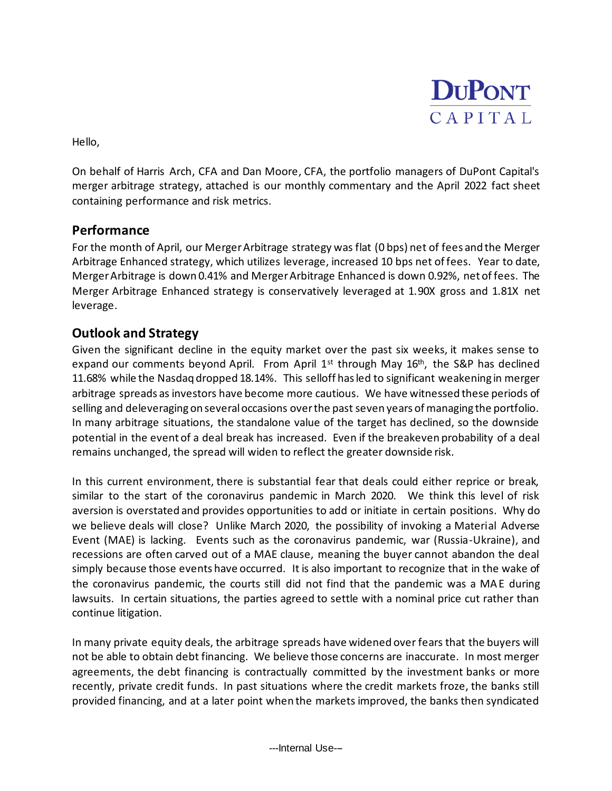

Hello,

On behalf of Harris Arch, CFA and Dan Moore, CFA, the portfolio managers of DuPont Capital's merger arbitrage strategy, attached is our monthly commentary and the April 2022 fact sheet containing performance and risk metrics.

## **Performance**

For the month of April, our Merger Arbitrage strategy was flat (0 bps) net of fees and the Merger Arbitrage Enhanced strategy, which utilizes leverage, increased 10 bps net of fees. Year to date, Merger Arbitrage is down 0.41% and Merger Arbitrage Enhanced is down 0.92%, net of fees. The Merger Arbitrage Enhanced strategy is conservatively leveraged at 1.90X gross and 1.81X net leverage.

## **Outlook and Strategy**

Given the significant decline in the equity market over the past six weeks, it makes sense to expand our comments beyond April. From April  $1^{st}$  through May  $16^{th}$ , the S&P has declined 11.68% while the Nasdaq dropped 18.14%. This selloff has led to significant weakening in merger arbitrage spreads as investors have become more cautious. We have witnessed these periods of selling and deleveraging on several occasions over the past seven years of managing the portfolio. In many arbitrage situations, the standalone value of the target has declined, so the downside potential in the event of a deal break has increased. Even if the breakeven probability of a deal remains unchanged, the spread will widen to reflect the greater downside risk.

In this current environment, there is substantial fear that deals could either reprice or break, similar to the start of the coronavirus pandemic in March 2020. We think this level of risk aversion is overstated and provides opportunities to add or initiate in certain positions. Why do we believe deals will close? Unlike March 2020, the possibility of invoking a Material Adverse Event (MAE) is lacking. Events such as the coronavirus pandemic, war (Russia-Ukraine), and recessions are often carved out of a MAE clause, meaning the buyer cannot abandon the deal simply because those events have occurred. It is also important to recognize that in the wake of the coronavirus pandemic, the courts still did not find that the pandemic was a MAE during lawsuits. In certain situations, the parties agreed to settle with a nominal price cut rather than continue litigation.

In many private equity deals, the arbitrage spreads have widened over fears that the buyers will not be able to obtain debt financing. We believe those concerns are inaccurate. In most merger agreements, the debt financing is contractually committed by the investment banks or more recently, private credit funds. In past situations where the credit markets froze, the banks still provided financing, and at a later point when the markets improved, the banks then syndicated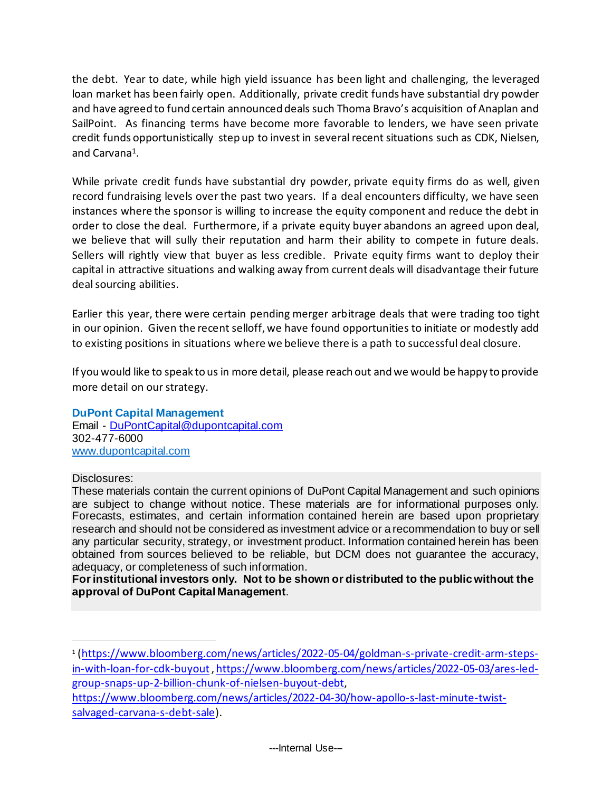the debt. Year to date, while high yield issuance has been light and challenging, the leveraged loan market has been fairly open. Additionally, private credit funds have substantial dry powder and have agreed to fund certain announced deals such Thoma Bravo's acquisition of Anaplan and SailPoint. As financing terms have become more favorable to lenders, we have seen private credit funds opportunistically step up to invest in several recent situations such as CDK, Nielsen, and Carvana<sup>1</sup>.

While private credit funds have substantial dry powder, private equity firms do as well, given record fundraising levels over the past two years. If a deal encounters difficulty, we have seen instances where the sponsor is willing to increase the equity component and reduce the debt in order to close the deal. Furthermore, if a private equity buyer abandons an agreed upon deal, we believe that will sully their reputation and harm their ability to compete in future deals. Sellers will rightly view that buyer as less credible. Private equity firms want to deploy their capital in attractive situations and walking away from current deals will disadvantage their future deal sourcing abilities.

Earlier this year, there were certain pending merger arbitrage deals that were trading too tight in our opinion. Given the recent selloff, we have found opportunities to initiate or modestly add to existing positions in situations where we believe there is a path to successful deal closure.

If you would like to speak to us in more detail, please reach out and we would be happy to provide more detail on our strategy.

## **DuPont Capital Management**

Email - [DuPontCapital@dupontcapital.com](mailto:DuPontCapital@dupontcapital.com) 302-477-6000 [www.dupontcapital.com](http://www.dupontcapital.com/)

## Disclosures:

These materials contain the current opinions of DuPont Capital Management and such opinions are subject to change without notice. These materials are for informational purposes only. Forecasts, estimates, and certain information contained herein are based upon proprietary research and should not be considered as investment advice or a recommendation to buy or sell any particular security, strategy, or investment product. Information contained herein has been obtained from sources believed to be reliable, but DCM does not guarantee the accuracy, adequacy, or completeness of such information.

**For institutional investors only. Not to be shown or distributed to the public without the approval of DuPont Capital Management**.

[https://www.bloomberg.com/news/articles/2022-04-30/how-apollo-s-last-minute-twist](https://www.bloomberg.com/news/articles/2022-04-30/how-apollo-s-last-minute-twist-salvaged-carvana-s-debt-sale)[salvaged-carvana-s-debt-sale\)](https://www.bloomberg.com/news/articles/2022-04-30/how-apollo-s-last-minute-twist-salvaged-carvana-s-debt-sale).

<sup>1</sup> [\(https://www.bloomberg.com/news/articles/2022-05-04/goldman-s-private-credit-arm-steps](https://www.bloomberg.com/news/articles/2022-05-04/goldman-s-private-credit-arm-steps-in-with-loan-for-cdk-buyout)[in-with-loan-for-cdk-buyout](https://www.bloomberg.com/news/articles/2022-05-04/goldman-s-private-credit-arm-steps-in-with-loan-for-cdk-buyout)[, https://www.bloomberg.com/news/articles/2022-05-03/ares-led](https://www.bloomberg.com/news/articles/2022-05-03/ares-led-group-snaps-up-2-billion-chunk-of-nielsen-buyout-debt)[group-snaps-up-2-billion-chunk-of-nielsen-buyout-debt](https://www.bloomberg.com/news/articles/2022-05-03/ares-led-group-snaps-up-2-billion-chunk-of-nielsen-buyout-debt),